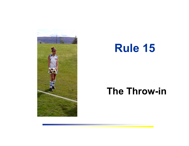

# **Rule 15**

## **The Throw-in**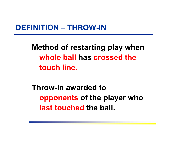#### **DEFINITION – THROW-IN**

**Method of restarting play when whole ball has crossed the touch line.**

**Throw-in awarded to opponents of the player who last touched the ball.**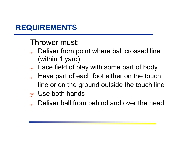## **REQUIREMENTS**

Thrower must:

- $\mathbf y$  Deliver from point where ball crossed line (within 1 yard)
- $\mathbf y$  Face field of play with some part of body
- $\mathbf y$  Have part of each foot either on the touch line or on the ground outside the touch line
- $_{\rm y}$  Use both hands
- Deliver ball from behind and over the head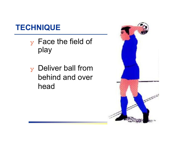## **TECHNIQUE**

- ❖ Face the field of play
- $\mathbf y$  Deliver ball from behind and over head

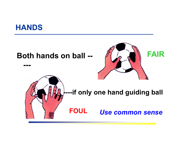

#### **Both hands on ball --**







#### **----if only one hand guiding ball**

*Use common sense*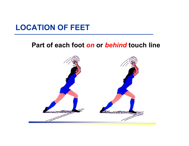## **LOCATION OF FEET**

#### **Part of each foot** *on* **or** *behind* **touch line**

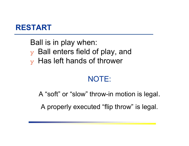

Ball is in play when:  $\mathbf y$  Ball enters field of play, and  $\mathbf y$  Has left hands of thrower

## NOTE:

A "soft" or "slow" throw-in motion is legal.

A properly executed "flip throw" is legal.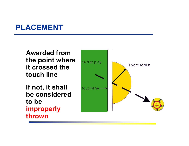## **PLACEMENT**

**Awarded from the point where it crossed the touch line**

**If not, it shall be considered to be improperly thrown**

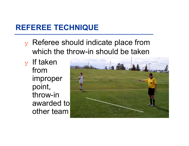## **REFEREE TECHNIQUE**

- ❖ Referee should indicate place from which the throw-in should be taken
- $_{\rm y}$  If taken from improper point, throw-in awarded to other team

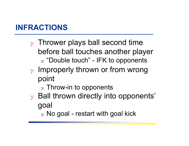## **INFRACTIONS**

- $\mathbf y$  Thrower plays ball second time before ball touches another player  $_\mathrm{\text{x}}$  "Double touch" - IFK to opponents
- $\mathbf y$  Improperly thrown or from wrong point
	- $\mathrm{_{\mathrm{x}}}$  Throw-in to opponents
- $\mathbf y$  Ball thrown directly into opponents' goal
	- $\rm{_{\rm x}}$  No goal restart with goal kick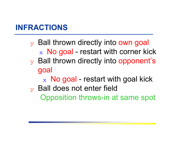## **INFRACTIONS**

- ❖ Ball thrown directly into own goal  $\rm{_{x}}\,$  No goal - restart with corner kick  $\mathbf y$  Ball thrown directly into opponent's goal  $\rm{_{x}}\,$  No goal - restart with goal kick
- $\mathbf y$  Ball does not enter field Opposition throws-in at same spot